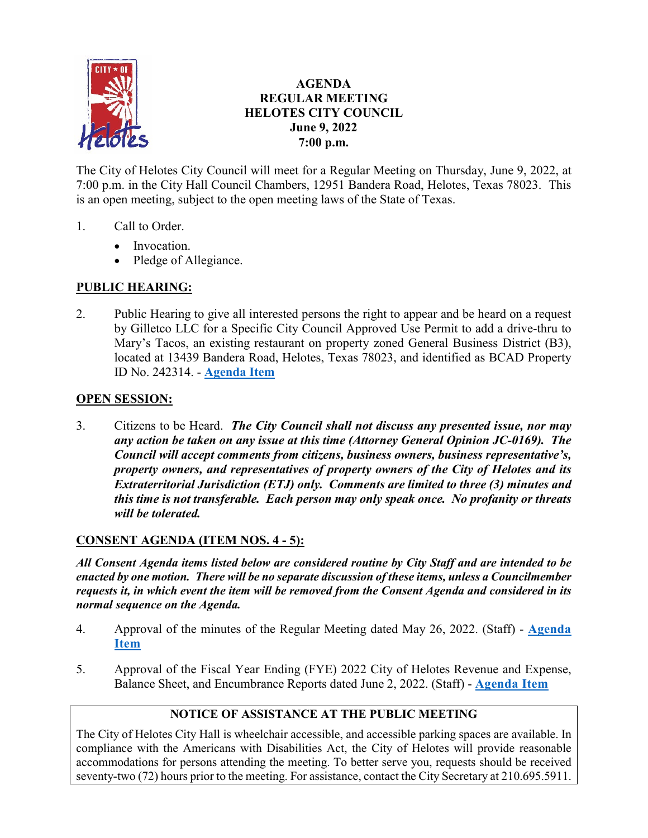

## **AGENDA REGULAR MEETING HELOTES CITY COUNCIL June 9, 2022 7:00 p.m.**

The City of Helotes City Council will meet for a Regular Meeting on Thursday, June 9, 2022, at 7:00 p.m. in the City Hall Council Chambers, 12951 Bandera Road, Helotes, Texas 78023. This is an open meeting, subject to the open meeting laws of the State of Texas.

- 1. Call to Order.
	- Invocation.
	- Pledge of Allegiance.

# **PUBLIC HEARING:**

2. Public Hearing to give all interested persons the right to appear and be heard on a request by Gilletco LLC for a Specific City Council Approved Use Permit to add a drive-thru to Mary's Tacos, an existing restaurant on property zoned General Business District (B3), located at 13439 Bandera Road, Helotes, Texas 78023, and identified as BCAD Property ID No. 242314. - **[Agenda Item](https://helotes-tx.gov/wp-content/uploads/2022/06/2-Marys-Tacos-PH.pdf)**

## **OPEN SESSION:**

3. Citizens to be Heard. *The City Council shall not discuss any presented issue, nor may any action be taken on any issue at this time (Attorney General Opinion JC-0169). The Council will accept comments from citizens, business owners, business representative's, property owners, and representatives of property owners of the City of Helotes and its Extraterritorial Jurisdiction (ETJ) only. Comments are limited to three (3) minutes and this time is not transferable. Each person may only speak once. No profanity or threats will be tolerated.*

## **CONSENT AGENDA (ITEM NOS. 4 - 5):**

*All Consent Agenda items listed below are considered routine by City Staff and are intended to be enacted by one motion. There will be no separate discussion of these items, unless a Councilmember requests it, in which event the item will be removed from the Consent Agenda and considered in its normal sequence on the Agenda.*

- 4. Approval of the minutes of the Regular Meeting dated May 26, 2022. (Staff) **[Agenda](https://helotes-tx.gov/wp-content/uploads/2022/06/4-Minutes.pdf)  [Item](https://helotes-tx.gov/wp-content/uploads/2022/06/4-Minutes.pdf)**
- 5. Approval of the Fiscal Year Ending (FYE) 2022 City of Helotes Revenue and Expense, Balance Sheet, and Encumbrance Reports dated June 2, 2022. (Staff) - **[Agenda Item](https://helotes-tx.gov/wp-content/uploads/2022/06/5-Financials.pdf)**

# **NOTICE OF ASSISTANCE AT THE PUBLIC MEETING**

The City of Helotes City Hall is wheelchair accessible, and accessible parking spaces are available. In compliance with the Americans with Disabilities Act, the City of Helotes will provide reasonable accommodations for persons attending the meeting. To better serve you, requests should be received seventy-two (72) hours prior to the meeting. For assistance, contact the City Secretary at 210.695.5911.